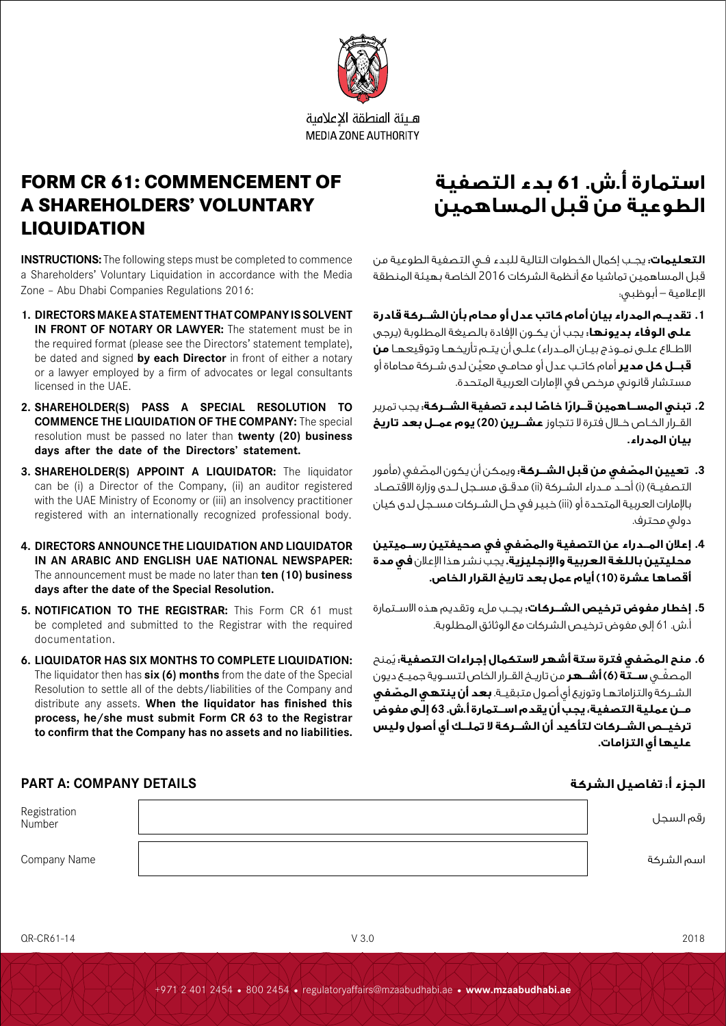

هبئة المنطقة الاعلامية **MEDIA ZONE AUTHORITY** 

## **FORM CR 61: COMMENCEMENT OF A SHAREHOLDERS' VOLUNTARY LIQUIDATION**

**INSTRUCTIONS:** The following steps must be completed to commence a Shareholders' Voluntary Liquidation in accordance with the Media Zone – Abu Dhabi Companies Regulations 2016:

- **1. DIRECTORS MAKE A STATEMENT THAT COMPANY IS SOLVENT IN FRONT OF NOTARY OR LAWYER:** The statement must be in the required format (please see the Directors' statement template). be dated and signed **by each Director** in front of either a notary or a lawyer employed by a firm of advocates or legal consultants licensed in the UAE.
- **2. SHAREHOLDER(S) PASS A SPECIAL RESOLUTION TO COMMENCE THE LIQUIDATION OF THE COMPANY:** The special resolution must be passed no later than **twenty (20) business days after the date of the Directors' statement.**
- **3. SHAREHOLDER(S) APPOINT A LIQUIDATOR:** The liquidator can be (i) a Director of the Company, (ii) an auditor registered with the UAE Ministry of Economy or (iii) an insolvency practitioner registered with an internationally recognized professional body.
- **4. DIRECTORS ANNOUNCE THE LIQUIDATION AND LIQUIDATOR IN AN ARABIC AND ENGLISH UAE NATIONAL NEWSPAPER:** The announcement must be made no later than **ten (10) business days after the date of the Special Resolution.**
- **5. NOTIFICATION TO THE REGISTRAR:** This Form CR 61 must be completed and submitted to the Registrar with the required documentation.
- **6. LIQUIDATOR HAS SIX MONTHS TO COMPLETE LIQUIDATION:**  The liquidator then has **six (6) months** from the date of the Special Resolution to settle all of the debts/liabilities of the Company and distribute any assets. **When the liquidator has finished this process, he/she must submit Form CR 63 to the Registrar to confirm that the Company has no assets and no liabilities.**

# **استمارة أ.ش. 61 بدء التصفية الطوعية من قبل المساهمين**

**التعليمات:** يجــب إكمال الخطوات التالية للبدء فــي التصفية الطوعية من قبل المساهمين تماشيا مع أنظمة الشركات 2016 الخاصة بهيئة المنطقة اإلعالمية – أبوظبي:

- **.1 تقديــم المدراء بيان أمام كاتب عدل أو محام بأن الشــركة قادرة على الوفاء بديونها:** يجب أن يكــون اإلفادة بالصيغة المطلوبة )يرجى االطــاع علــى نمــوذج بيــان المــدراء( علــى أن يتــم تأريخهــا وتوقيعهــا **من قبــل كل مدير** َّ أمام كاتــب عدل أو محامــي معين لدى شــركة محاماة أو مستشار قانوني مرخص في اإلمارات العربية المتحدة.
- **.2 ً تبني المســاهمين قــرار ًّ ا خاصا لبدء تصفية الشــركة:** يجب تمرير القــرار الخــاص خــال فترة ال تتجاوز **عشــرين )20( يوم عمــل بعد تاريخ بيان المدراء.**
- **.3 ّ تعيين المصفي من قبل الشــركة:** ّ ويمكن أن يكون المصفي )مأمور التصفيــة) (i) أحــد مــدراء الشــركة (ii) مدقــق مســجل لــدى وزارة الاقتصـاد باإلمارات العربية المتحدة أو )iii )خبير في حل الشــركات مســجل لدى كيان دولي محترف.
- **.4 ّ إعالن المــدراء عن التصفية والمصفي في صحيفتين رســميتين محليتين باللغة العربية واإلنجليزية.** يجب نشر هذا اإلعالن **في مدة أقصاها عشرة )10( أيام عمل بعد تاريخ القرار الخاص.**
- **.5 إخطار مفوض ترخيص الشــركات:** يجــب ملء وتقديم هذه االســتمارة أ.ش. 61 إلى مفوض ترخيص الشركات مع الوثائق المطلوبة.
- **.6 ّ منح المصفي فترة ستة أشهر الستكمال إجراءات التصفية:** ُيمنح ّ المصفــي **ســتة )6( أشــهر** من تاريــخ القــرار الخاص لتســوية جميــع ديون الشــركة والتزاماتهــا وتوزيع أي أصول متبقيــة. **ّ بعد أن ينتهي المصفي مــن عملية التصفية، يجب أن يقدم اســتمارة أ.ش. 63 إلى مفوض ترخيــص الشــركات لتأكيد أن الشــركة ال تملــك أي أصول وليس عليها أي التزامات.**

### **الجزء أ: تفاصيل الشركة DETAILS COMPANY :A PART**

| Registration<br>Number | رقم السجل  |
|------------------------|------------|
| Company Name           | اسم الشركة |

QR-CR61-14 V 3.0 2018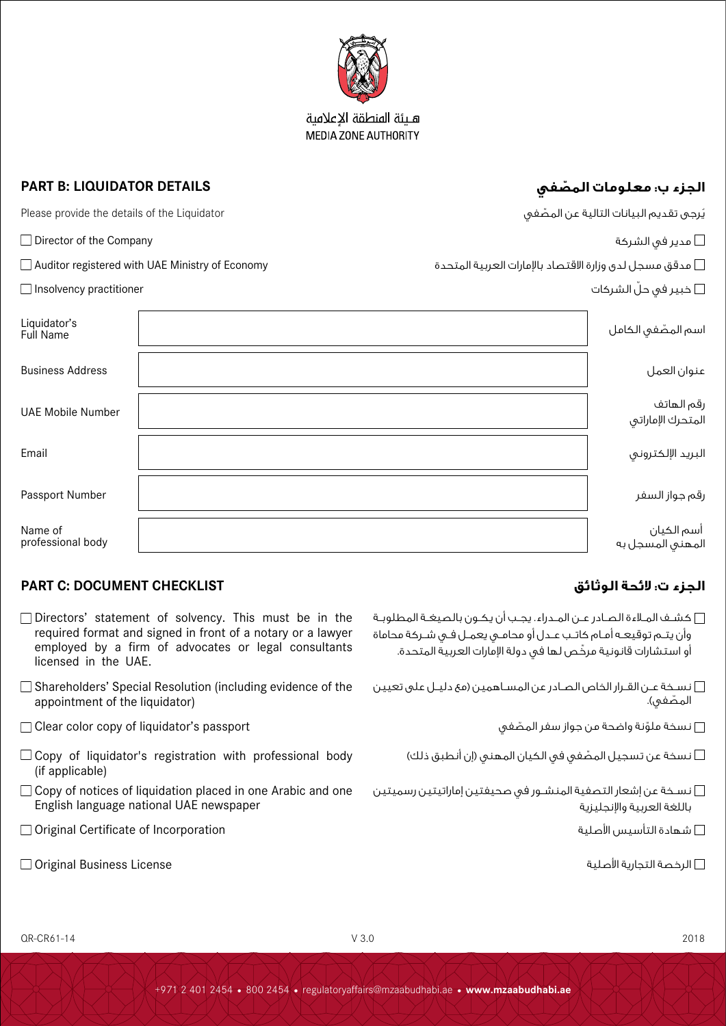

هبئة المنطقة الاعلامية **MEDIA ZONE AUTHORITY** 

### **ّ الجزء ب: معلومات المصفي DETAILS LIQUIDATOR :B PART**

| Please provide the details of the Liquidator           |  | يُرجى تقديم البيانات التالية عن المصّفى                       |                                 |
|--------------------------------------------------------|--|---------------------------------------------------------------|---------------------------------|
| $\Box$ Director of the Company                         |  | عدير في الشركة $\Box$                                         |                                 |
| $\Box$ Auditor registered with UAE Ministry of Economy |  | مدقق مسجل لدى وزارة الاقتصاد بالإمارات العربية المتحدة $\Box$ |                                 |
| $\Box$ Insolvency practitioner                         |  |                                                               | خبير فى حلّ الشركات $\Box$      |
| Liquidator's<br>Full Name                              |  |                                                               | اسم المصّفى الكامل              |
| <b>Business Address</b>                                |  |                                                               | عنوان العمل                     |
| <b>UAE Mobile Number</b>                               |  |                                                               | رقم الهاتف<br>المتحرك الإماراتى |
| Email                                                  |  |                                                               | البريد الإلكتروني               |
| Passport Number                                        |  |                                                               | رقم جواز السفر                  |
| Name of<br>professional body                           |  |                                                               | أسم الكيان<br>المهنق المسجل به  |

### **الجزء ت: الئحة الوثائق CHECKLIST DOCUMENT :C PART**

- $\square$  Directors' statement of solvency. This must be in the required format and signed in front of a notary or a lawyer employed by a firm of advocates or legal consultants licensed in the UAE.
- □ Shareholders' Special Resolution (including evidence of the appointment of the liquidator)
- $\Box$  Clear color copy of liquidator's passport نسخة ملوّنة واضحة من جواز سفر المصّغى  $\Box$
- $\Box$  Copy of liquidator's registration with professional body (if applicable)
- $\Box$  Copy of notices of liquidation placed in one Arabic and one English language national UAE newspaper
- Original Certificate of Incorporation األصلية التأسيس شهادة
- $\square$  Original Business License الرخصة التجارية الأصلية  $\square$

- كشــف المــاءة الصــادر عــن المــدراء. يجــب أن يكــون بالصيغــة المطلوبــة وأن يتــم توقيعــه أمــام كاتــب عــدل أو محامــي يعمــل فــي شــركة محاماة ّ أو استشارات قانونية مرخص لها في دولة اإلمارات العربية المتحدة.
- نســخة عــن القــرار الخاص الصــادر عـن المســاهمين (مع دليــل على تعيين  $\square$ المصّفي).
	-
	- نسخة عن تسجيل المصّفي في الكيان المهني (إن أنطبق ذلك)  $\Box$
- نســخة عن إشعار التصفية المنشــور في صحيفتين إماراتيتين رسميتين باللغة العربية واإلنجليزية
	- -

QR-CR61-14 V 3.0 2018